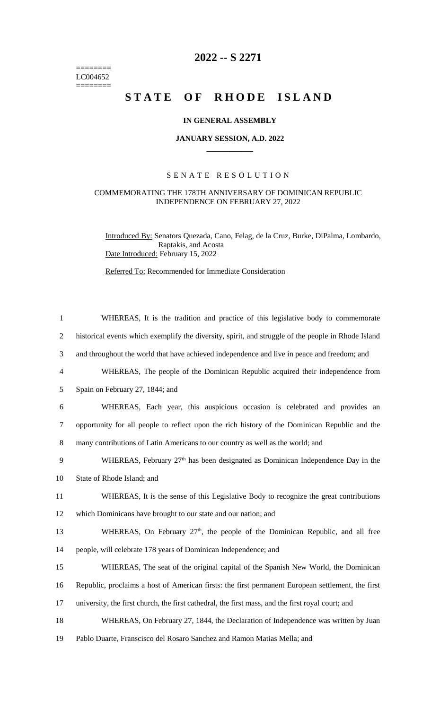======== LC004652  $=$ 

## **2022 -- S 2271**

# STATE OF RHODE ISLAND

### **IN GENERAL ASSEMBLY**

#### **JANUARY SESSION, A.D. 2022 \_\_\_\_\_\_\_\_\_\_\_\_**

#### S E N A T E R E S O L U T I O N

#### COMMEMORATING THE 178TH ANNIVERSARY OF DOMINICAN REPUBLIC INDEPENDENCE ON FEBRUARY 27, 2022

Introduced By: Senators Quezada, Cano, Felag, de la Cruz, Burke, DiPalma, Lombardo, Raptakis, and Acosta Date Introduced: February 15, 2022

Referred To: Recommended for Immediate Consideration

| $\mathbf{1}$   | WHEREAS, It is the tradition and practice of this legislative body to commemorate                   |
|----------------|-----------------------------------------------------------------------------------------------------|
| $\overline{2}$ | historical events which exemplify the diversity, spirit, and struggle of the people in Rhode Island |
| 3              | and throughout the world that have achieved independence and live in peace and freedom; and         |
| $\overline{4}$ | WHEREAS, The people of the Dominican Republic acquired their independence from                      |
| 5              | Spain on February 27, 1844; and                                                                     |
| 6              | WHEREAS, Each year, this auspicious occasion is celebrated and provides an                          |
| $\tau$         | opportunity for all people to reflect upon the rich history of the Dominican Republic and the       |
| 8              | many contributions of Latin Americans to our country as well as the world; and                      |
| 9              | WHEREAS, February $27th$ has been designated as Dominican Independence Day in the                   |
| 10             | State of Rhode Island; and                                                                          |
| 11             | WHEREAS, It is the sense of this Legislative Body to recognize the great contributions              |
| 12             | which Dominicans have brought to our state and our nation; and                                      |
| 13             | WHEREAS, On February 27 <sup>th</sup> , the people of the Dominican Republic, and all free          |
| 14             | people, will celebrate 178 years of Dominican Independence; and                                     |
| 15             | WHEREAS, The seat of the original capital of the Spanish New World, the Dominican                   |
| 16             | Republic, proclaims a host of American firsts: the first permanent European settlement, the first   |
| 17             | university, the first church, the first cathedral, the first mass, and the first royal court; and   |
| 18             | WHEREAS, On February 27, 1844, the Declaration of Independence was written by Juan                  |
| 19             | Pablo Duarte, Franscisco del Rosaro Sanchez and Ramon Matias Mella; and                             |